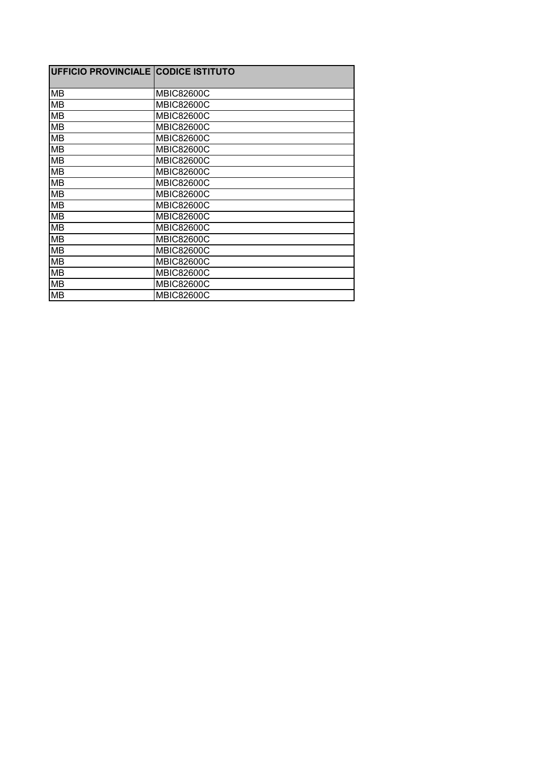| <b>UFFICIO PROVINCIALE CODICE ISTITUTO</b> |                   |
|--------------------------------------------|-------------------|
| <b>MB</b>                                  | <b>MBIC82600C</b> |
| MВ                                         | <b>MBIC82600C</b> |
| <b>MB</b>                                  | <b>MBIC82600C</b> |
| <b>MB</b>                                  | <b>MBIC82600C</b> |
| MВ                                         | <b>MBIC82600C</b> |
| MВ                                         | <b>MBIC82600C</b> |
| MВ                                         | <b>MBIC82600C</b> |
| <b>MB</b>                                  | <b>MBIC82600C</b> |
| <b>MB</b>                                  | <b>MBIC82600C</b> |
| <b>MB</b>                                  | <b>MBIC82600C</b> |
| MВ                                         | <b>MBIC82600C</b> |
| MВ                                         | <b>MBIC82600C</b> |
| MВ                                         | <b>MBIC82600C</b> |
| MВ                                         | <b>MBIC82600C</b> |
| MB                                         | <b>MBIC82600C</b> |
| MВ                                         | <b>MBIC82600C</b> |
| MВ                                         | <b>MBIC82600C</b> |
| MВ                                         | <b>MBIC82600C</b> |
| MВ                                         | <b>MBIC82600C</b> |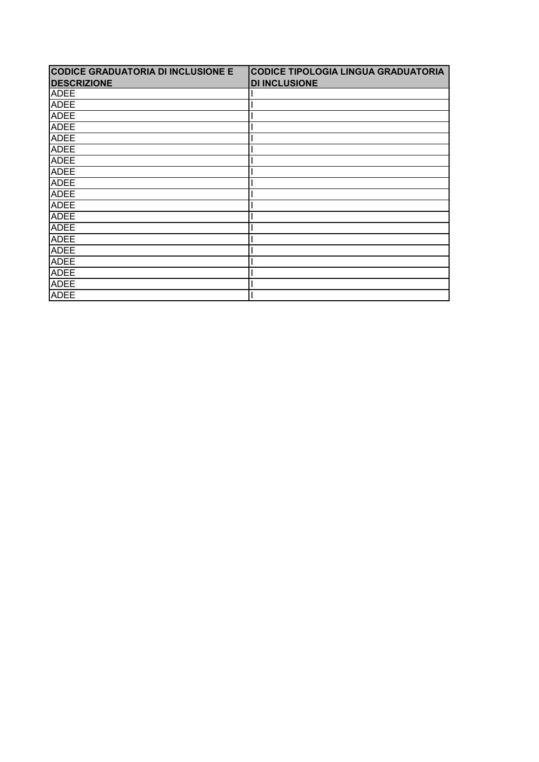| <b>CODICE GRADUATORIA DI INCLUSIONE E</b> | <b>CODICE TIPOLOGIA LINGUA GRADUATORIA</b> |
|-------------------------------------------|--------------------------------------------|
| <b>DESCRIZIONE</b>                        | <b>DI INCLUSIONE</b>                       |
| <b>ADEE</b>                               |                                            |
| <b>ADEE</b>                               |                                            |
| <b>ADEE</b>                               |                                            |
| <b>ADEE</b>                               |                                            |
| <b>ADEE</b>                               |                                            |
| <b>ADEE</b>                               |                                            |
| <b>ADEE</b>                               |                                            |
| <b>ADEE</b>                               |                                            |
| <b>ADEE</b>                               |                                            |
| <b>ADEE</b>                               |                                            |
| <b>ADEE</b>                               |                                            |
| <b>ADEE</b>                               |                                            |
| <b>ADEE</b>                               |                                            |
| <b>ADEE</b>                               |                                            |
| <b>ADEE</b>                               |                                            |
| <b>ADEE</b>                               |                                            |
| <b>ADEE</b>                               |                                            |
| <b>ADEE</b>                               |                                            |
| <b>ADEE</b>                               |                                            |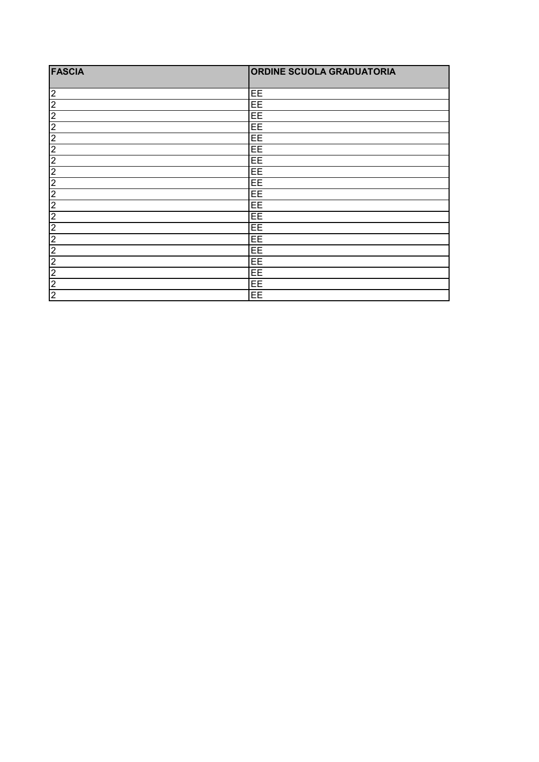| <b>FASCIA</b>  | <b>ORDINE SCUOLA GRADUATORIA</b> |
|----------------|----------------------------------|
| $\overline{c}$ | EE                               |
| $\overline{2}$ | EE                               |
| $\overline{2}$ | EE                               |
| $\overline{2}$ | EE                               |
| $\overline{2}$ | EE                               |
| $\overline{2}$ | EE                               |
| $\overline{2}$ | EE                               |
| $\overline{2}$ | EE                               |
| $\overline{2}$ | EE                               |
| $\overline{2}$ | EE                               |
| $\overline{2}$ | EE                               |
| $\overline{2}$ | EE                               |
| $\overline{2}$ | EE                               |
| $\overline{2}$ | EE                               |
| $\overline{2}$ | EE                               |
| $\overline{2}$ | EE                               |
| $\overline{2}$ | EE                               |
| $\overline{2}$ | EE                               |
| $\overline{2}$ | EE                               |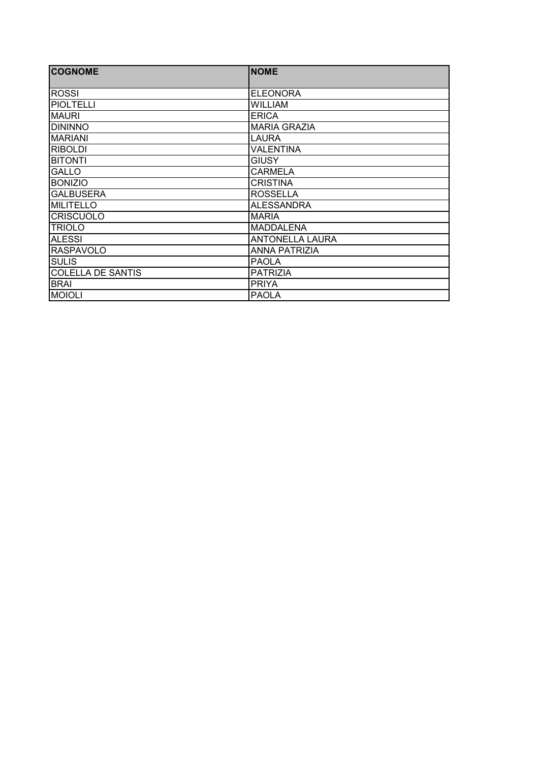| <b>COGNOME</b>           | <b>NOME</b>            |
|--------------------------|------------------------|
|                          |                        |
| <b>ROSSI</b>             | <b>ELEONORA</b>        |
| <b>PIOLTELLI</b>         | <b>WILLIAM</b>         |
| <b>MAURI</b>             | <b>ERICA</b>           |
| <b>DININNO</b>           | <b>MARIA GRAZIA</b>    |
| <b>MARIANI</b>           | LAURA                  |
| <b>RIBOLDI</b>           | <b>VALENTINA</b>       |
| <b>BITONTI</b>           | <b>GIUSY</b>           |
| <b>GALLO</b>             | <b>CARMELA</b>         |
| <b>BONIZIO</b>           | <b>CRISTINA</b>        |
| <b>GALBUSERA</b>         | <b>ROSSELLA</b>        |
| <b>MILITELLO</b>         | <b>ALESSANDRA</b>      |
| <b>CRISCUOLO</b>         | <b>MARIA</b>           |
| <b>TRIOLO</b>            | <b>MADDALENA</b>       |
| <b>ALESSI</b>            | <b>ANTONELLA LAURA</b> |
| <b>RASPAVOLO</b>         | <b>ANNA PATRIZIA</b>   |
| <b>SULIS</b>             | <b>PAOLA</b>           |
| <b>COLELLA DE SANTIS</b> | <b>PATRIZIA</b>        |
| <b>BRAI</b>              | <b>PRIYA</b>           |
| <b>MOIOLI</b>            | <b>PAOLA</b>           |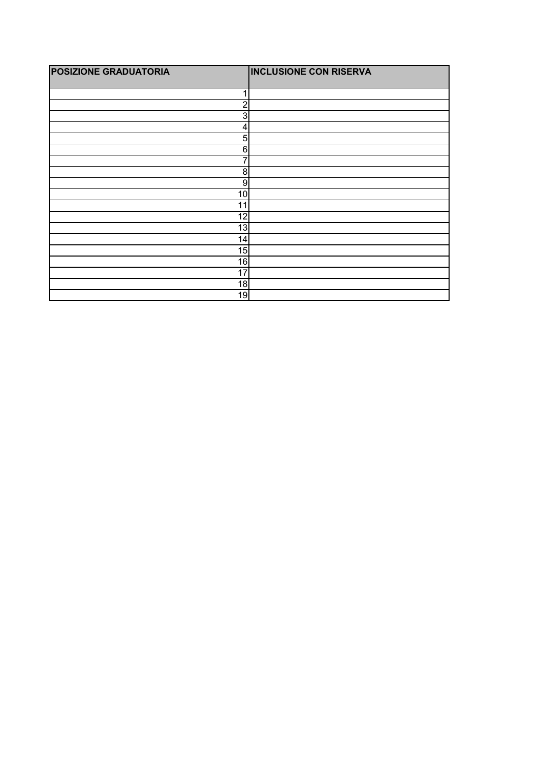| <b>POSIZIONE GRADUATORIA</b> | <b>INCLUSIONE CON RISERVA</b> |
|------------------------------|-------------------------------|
| и                            |                               |
| $\overline{c}$               |                               |
| 3                            |                               |
| $\overline{\mathbf{4}}$      |                               |
| 5 <sup>5</sup>               |                               |
| 6                            |                               |
| 7                            |                               |
| $\boldsymbol{8}$             |                               |
| 9                            |                               |
| 10                           |                               |
| 11                           |                               |
| 12                           |                               |
| 13                           |                               |
| 14                           |                               |
| 15                           |                               |
| 16                           |                               |
| 17                           |                               |
| 18                           |                               |
| 19                           |                               |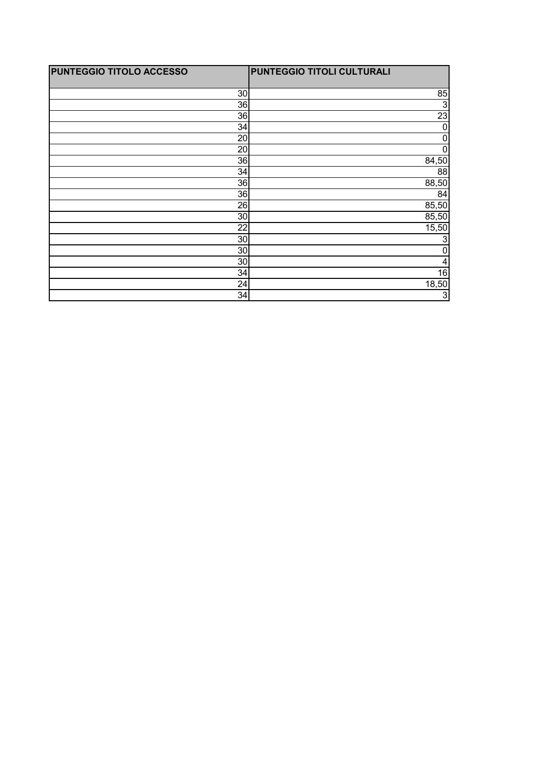| PUNTEGGIO TITOLO ACCESSO | PUNTEGGIO TITOLI CULTURALI |
|--------------------------|----------------------------|
|                          |                            |
| 30                       | 85                         |
| 36                       | $\mathbf{3}$               |
| 36                       | $\overline{23}$            |
| 34                       | 0                          |
| 20                       | 0                          |
| 20                       | 0                          |
| 36                       | 84,50                      |
| 34                       | 88                         |
| 36                       | 88,50                      |
| 36                       | 84                         |
| 26                       | 85,50                      |
| 30                       | 85,50                      |
| 22                       | 15,50                      |
| 30 <sub>l</sub>          | 3                          |
| 30 <sup>°</sup>          | 0                          |
| 30                       | $\vert 4 \vert$            |
| 34                       | 16                         |
| 24                       | 18,50                      |
| 34                       | دن                         |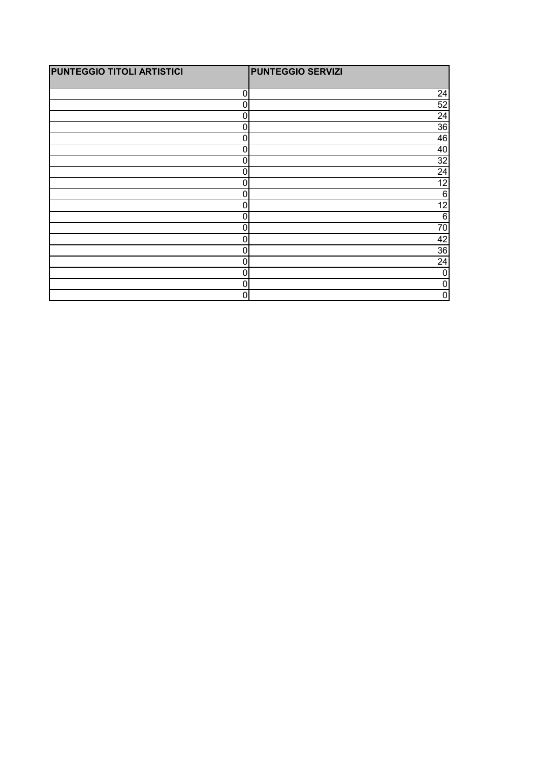| <b>PUNTEGGIO TITOLI ARTISTICI</b> | <b>PUNTEGGIO SERVIZI</b> |
|-----------------------------------|--------------------------|
|                                   |                          |
| 0                                 | 24                       |
| 0                                 | 52                       |
| 0                                 | $\overline{24}$          |
| 0                                 | 36                       |
| 0                                 | 46                       |
| 0                                 | 40                       |
| 0                                 | $\overline{32}$          |
| 0                                 | 24                       |
| 0                                 | $\overline{12}$          |
| 0                                 | $6 \overline{6}$         |
| $\mathbf 0$                       | 12                       |
| 0                                 | $6 \,$                   |
| 0                                 | 70                       |
| $\mathbf 0$                       | 42                       |
| 0                                 | 36                       |
| 0                                 | 24                       |
| 0                                 | 0                        |
| $\mathbf 0$                       | 0                        |
| $\mathbf{0}$                      | 0                        |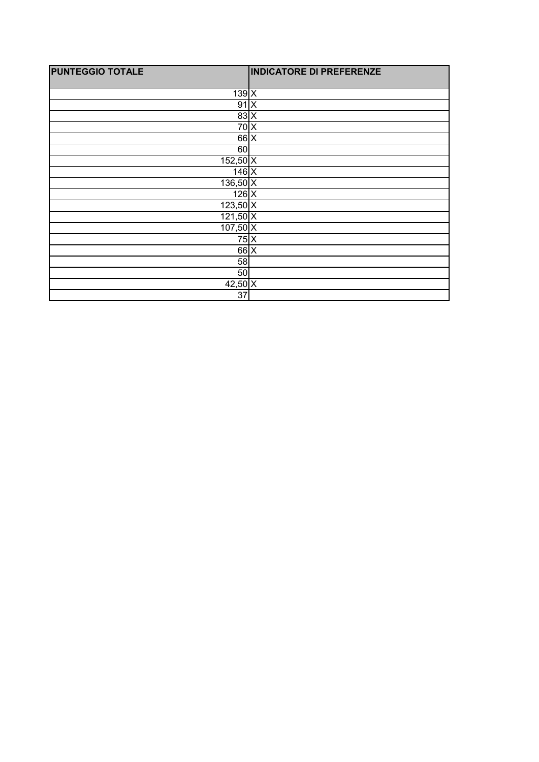| <b>PUNTEGGIO TOTALE</b> | <b>INDICATORE DI PREFERENZE</b> |
|-------------------------|---------------------------------|
| $139$ $X$               |                                 |
| $91 \times$             |                                 |
| $83 \times$             |                                 |
| $70\text{X}$            |                                 |
| $66$ X                  |                                 |
| 60                      |                                 |
| $152,50$ X              |                                 |
| $146$ $X$               |                                 |
| $136,50$ X              |                                 |
| $126$ $X$               |                                 |
| $123,50$ X              |                                 |
| $121,50$ X              |                                 |
| $107,50$ X              |                                 |
| $\overline{7}5\vert X$  |                                 |
| $66$ $X$                |                                 |
| 58                      |                                 |
| 50                      |                                 |
| $42,50$ X               |                                 |
| 37                      |                                 |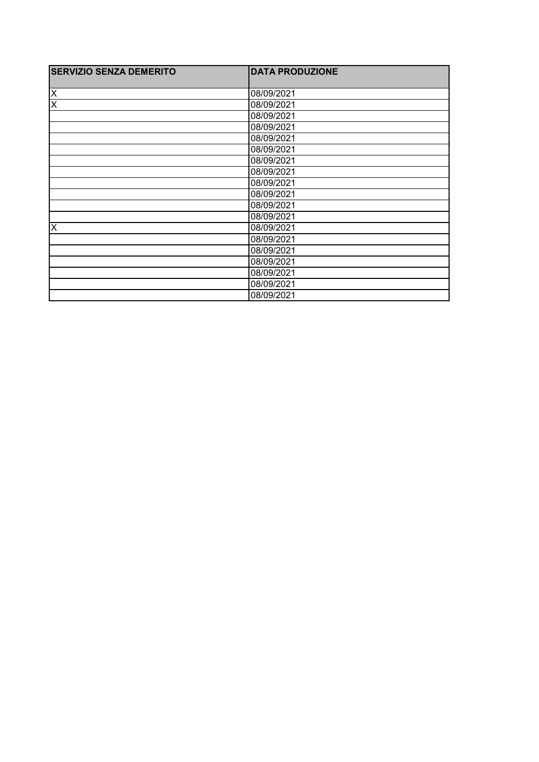| <b>SERVIZIO SENZA DEMERITO</b> | <b>DATA PRODUZIONE</b> |
|--------------------------------|------------------------|
|                                |                        |
| X                              | 08/09/2021             |
| $\overline{\mathsf{x}}$        | 08/09/2021             |
|                                | 08/09/2021             |
|                                | 08/09/2021             |
|                                | 08/09/2021             |
|                                | 08/09/2021             |
|                                | 08/09/2021             |
|                                | 08/09/2021             |
|                                | 08/09/2021             |
|                                | 08/09/2021             |
|                                | 08/09/2021             |
|                                | 08/09/2021             |
| X                              | 08/09/2021             |
|                                | 08/09/2021             |
|                                | 08/09/2021             |
|                                | 08/09/2021             |
|                                | 08/09/2021             |
|                                | 08/09/2021             |
|                                | 08/09/2021             |